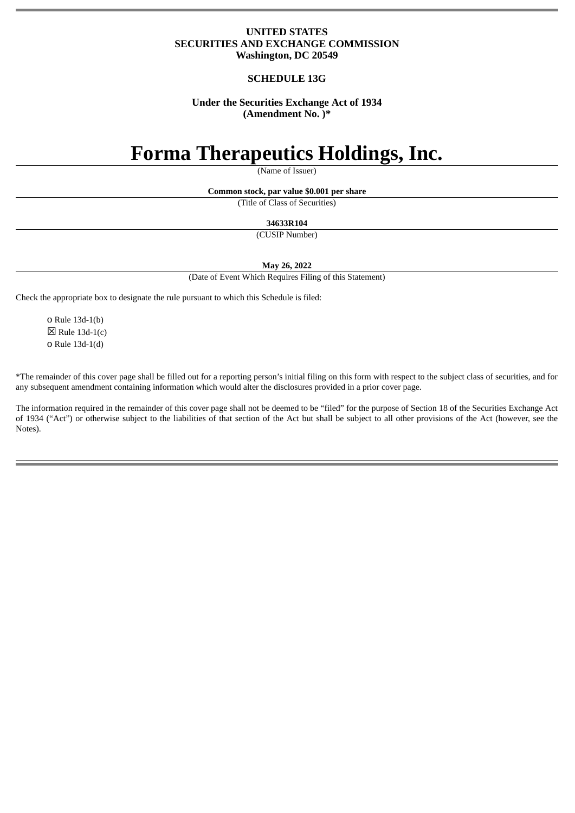# **UNITED STATES SECURITIES AND EXCHANGE COMMISSION Washington, DC 20549**

# **SCHEDULE 13G**

# **Under the Securities Exchange Act of 1934 (Amendment No. )\***

# **Forma Therapeutics Holdings, Inc.**

(Name of Issuer)

**Common stock, par value \$0.001 per share**

(Title of Class of Securities)

#### **34633R104**

(CUSIP Number)

**May 26, 2022**

(Date of Event Which Requires Filing of this Statement)

Check the appropriate box to designate the rule pursuant to which this Schedule is filed:

o Rule 13d-1(b)  $\boxtimes$  Rule 13d-1(c) o Rule 13d-1(d)

\*The remainder of this cover page shall be filled out for a reporting person's initial filing on this form with respect to the subject class of securities, and for any subsequent amendment containing information which would alter the disclosures provided in a prior cover page.

The information required in the remainder of this cover page shall not be deemed to be "filed" for the purpose of Section 18 of the Securities Exchange Act of 1934 ("Act") or otherwise subject to the liabilities of that section of the Act but shall be subject to all other provisions of the Act (however, see the Notes).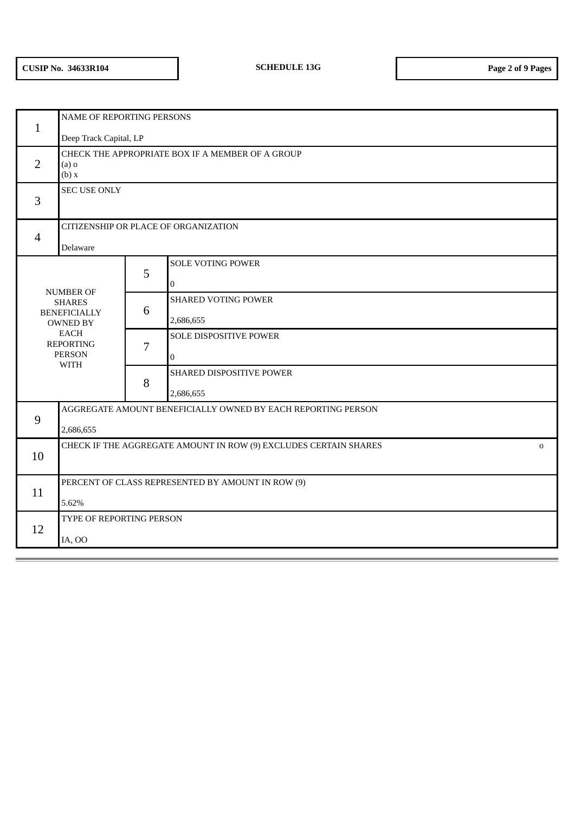| $\mathbf{1}$   | NAME OF REPORTING PERSONS                                                                                                |   |                            |  |  |  |  |
|----------------|--------------------------------------------------------------------------------------------------------------------------|---|----------------------------|--|--|--|--|
|                | Deep Track Capital, LP                                                                                                   |   |                            |  |  |  |  |
| $\overline{2}$ | CHECK THE APPROPRIATE BOX IF A MEMBER OF A GROUP<br>$(a)$ o<br>(b) x                                                     |   |                            |  |  |  |  |
| 3              | SEC USE ONLY                                                                                                             |   |                            |  |  |  |  |
| $\overline{4}$ | CITIZENSHIP OR PLACE OF ORGANIZATION<br>Delaware                                                                         |   |                            |  |  |  |  |
|                |                                                                                                                          |   | <b>SOLE VOTING POWER</b>   |  |  |  |  |
|                |                                                                                                                          | 5 | $\overline{0}$             |  |  |  |  |
|                | <b>NUMBER OF</b><br><b>SHARES</b><br><b>BENEFICIALLY</b><br>OWNED BY<br><b>EACH</b><br><b>REPORTING</b><br><b>PERSON</b> |   | <b>SHARED VOTING POWER</b> |  |  |  |  |
|                |                                                                                                                          |   | 2,686,655                  |  |  |  |  |
|                |                                                                                                                          |   | SOLE DISPOSITIVE POWER     |  |  |  |  |
|                |                                                                                                                          |   | $\mathbf 0$                |  |  |  |  |
| <b>WITH</b>    |                                                                                                                          | 8 | SHARED DISPOSITIVE POWER   |  |  |  |  |
|                |                                                                                                                          |   | 2,686,655                  |  |  |  |  |
| 9              | AGGREGATE AMOUNT BENEFICIALLY OWNED BY EACH REPORTING PERSON                                                             |   |                            |  |  |  |  |
|                | 2,686,655                                                                                                                |   |                            |  |  |  |  |
| 10             | CHECK IF THE AGGREGATE AMOUNT IN ROW (9) EXCLUDES CERTAIN SHARES<br>$\mathbf 0$                                          |   |                            |  |  |  |  |
|                |                                                                                                                          |   |                            |  |  |  |  |
| 11             | PERCENT OF CLASS REPRESENTED BY AMOUNT IN ROW (9)                                                                        |   |                            |  |  |  |  |
|                | 5.62%                                                                                                                    |   |                            |  |  |  |  |
| 12             | TYPE OF REPORTING PERSON                                                                                                 |   |                            |  |  |  |  |
|                | IA, OO                                                                                                                   |   |                            |  |  |  |  |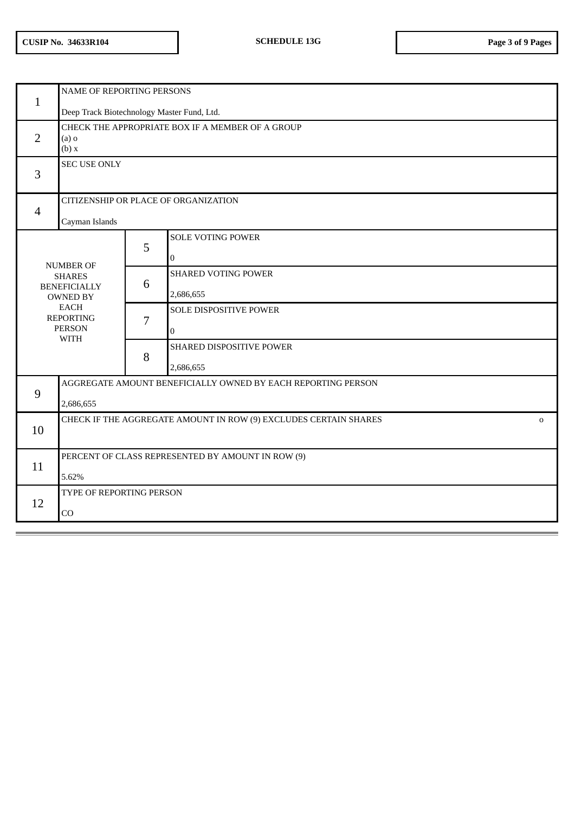| $\mathbf{1}$     | NAME OF REPORTING PERSONS                                                       |   |                            |  |  |  |  |
|------------------|---------------------------------------------------------------------------------|---|----------------------------|--|--|--|--|
|                  | Deep Track Biotechnology Master Fund, Ltd.                                      |   |                            |  |  |  |  |
| 2                | CHECK THE APPROPRIATE BOX IF A MEMBER OF A GROUP<br>$(a)$ o<br>(b) x            |   |                            |  |  |  |  |
| 3                | <b>SEC USE ONLY</b>                                                             |   |                            |  |  |  |  |
| $\overline{4}$   | CITIZENSHIP OR PLACE OF ORGANIZATION                                            |   |                            |  |  |  |  |
|                  | Cayman Islands                                                                  |   |                            |  |  |  |  |
|                  |                                                                                 | 5 | <b>SOLE VOTING POWER</b>   |  |  |  |  |
| <b>NUMBER OF</b> |                                                                                 |   | $\boldsymbol{0}$           |  |  |  |  |
|                  | <b>SHARES</b><br><b>BENEFICIALLY</b><br><b>OWNED BY</b>                         |   | <b>SHARED VOTING POWER</b> |  |  |  |  |
|                  |                                                                                 |   | 2,686,655                  |  |  |  |  |
|                  | <b>EACH</b><br><b>REPORTING</b>                                                 | 7 | SOLE DISPOSITIVE POWER     |  |  |  |  |
|                  | <b>PERSON</b><br><b>WITH</b>                                                    |   | $\bf{0}$                   |  |  |  |  |
|                  |                                                                                 | 8 | SHARED DISPOSITIVE POWER   |  |  |  |  |
|                  |                                                                                 |   | 2,686,655                  |  |  |  |  |
|                  | AGGREGATE AMOUNT BENEFICIALLY OWNED BY EACH REPORTING PERSON                    |   |                            |  |  |  |  |
| 9                | 2,686,655                                                                       |   |                            |  |  |  |  |
| 10               | CHECK IF THE AGGREGATE AMOUNT IN ROW (9) EXCLUDES CERTAIN SHARES<br>$\mathbf 0$ |   |                            |  |  |  |  |
|                  |                                                                                 |   |                            |  |  |  |  |
|                  | PERCENT OF CLASS REPRESENTED BY AMOUNT IN ROW (9)                               |   |                            |  |  |  |  |
| 11               | 5.62%                                                                           |   |                            |  |  |  |  |
| 12               | TYPE OF REPORTING PERSON                                                        |   |                            |  |  |  |  |
|                  | CO                                                                              |   |                            |  |  |  |  |
|                  |                                                                                 |   |                            |  |  |  |  |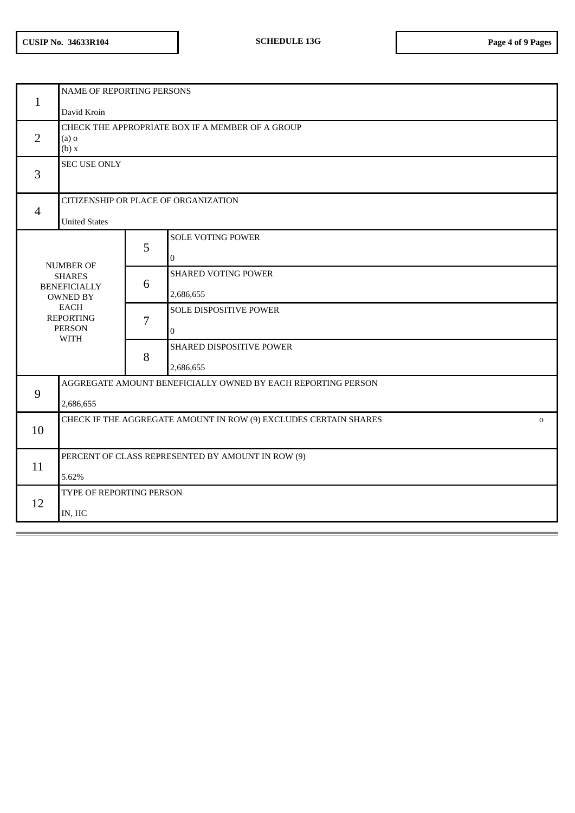| $\mathbf{1}$                                                                                                                                   | NAME OF REPORTING PERSONS<br>David Kroin                                        |                                                         |                                          |  |  |  |
|------------------------------------------------------------------------------------------------------------------------------------------------|---------------------------------------------------------------------------------|---------------------------------------------------------|------------------------------------------|--|--|--|
| 2                                                                                                                                              | CHECK THE APPROPRIATE BOX IF A MEMBER OF A GROUP<br>$(a)$ o<br>(b) x            |                                                         |                                          |  |  |  |
| 3                                                                                                                                              | <b>SEC USE ONLY</b>                                                             |                                                         |                                          |  |  |  |
| $\overline{4}$                                                                                                                                 | CITIZENSHIP OR PLACE OF ORGANIZATION<br><b>United States</b>                    |                                                         |                                          |  |  |  |
|                                                                                                                                                |                                                                                 | 5                                                       | <b>SOLE VOTING POWER</b><br>$\mathbf{0}$ |  |  |  |
| <b>NUMBER OF</b><br><b>SHARES</b><br><b>BENEFICIALLY</b><br><b>OWNED BY</b><br><b>EACH</b><br><b>REPORTING</b><br><b>PERSON</b><br><b>WITH</b> |                                                                                 | 6                                                       | <b>SHARED VOTING POWER</b><br>2,686,655  |  |  |  |
|                                                                                                                                                |                                                                                 | SOLE DISPOSITIVE POWER<br>$\overline{7}$<br>$\mathbf 0$ |                                          |  |  |  |
|                                                                                                                                                |                                                                                 | 8                                                       | SHARED DISPOSITIVE POWER<br>2,686,655    |  |  |  |
|                                                                                                                                                | AGGREGATE AMOUNT BENEFICIALLY OWNED BY EACH REPORTING PERSON                    |                                                         |                                          |  |  |  |
| 9                                                                                                                                              | 2,686,655                                                                       |                                                         |                                          |  |  |  |
| 10                                                                                                                                             | CHECK IF THE AGGREGATE AMOUNT IN ROW (9) EXCLUDES CERTAIN SHARES<br>$\mathbf 0$ |                                                         |                                          |  |  |  |
| 11                                                                                                                                             | PERCENT OF CLASS REPRESENTED BY AMOUNT IN ROW (9)<br>5.62%                      |                                                         |                                          |  |  |  |
| 12                                                                                                                                             | TYPE OF REPORTING PERSON<br>IN, HC                                              |                                                         |                                          |  |  |  |
|                                                                                                                                                |                                                                                 |                                                         |                                          |  |  |  |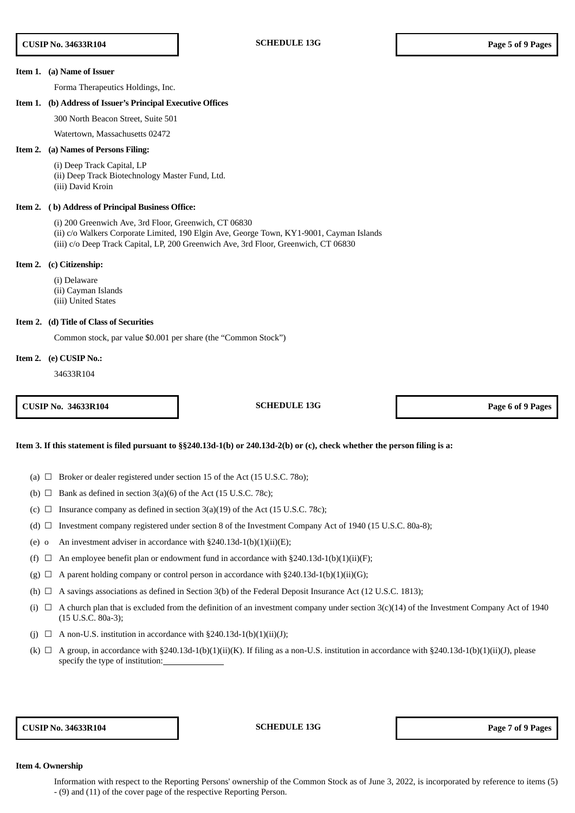#### **Item 1. (a) Name of Issuer**

Forma Therapeutics Holdings, Inc.

#### **Item 1. (b) Address of Issuer's Principal Executive Offices**

300 North Beacon Street, Suite 501

Watertown, Massachusetts 02472

# **Item 2. (a) Names of Persons Filing:**

(i) Deep Track Capital, LP (ii) Deep Track Biotechnology Master Fund, Ltd. (iii) David Kroin

## **Item 2. ( b) Address of Principal Business Office:**

(i) 200 Greenwich Ave, 3rd Floor, Greenwich, CT 06830 (ii) c/o Walkers Corporate Limited, 190 Elgin Ave, George Town, KY1-9001, Cayman Islands (iii) c/o Deep Track Capital, LP, 200 Greenwich Ave, 3rd Floor, Greenwich, CT 06830

#### **Item 2. (c) Citizenship:**

(i) Delaware (ii) Cayman Islands (iii) United States

#### **Item 2. (d) Title of Class of Securities**

Common stock, par value \$0.001 per share (the "Common Stock")

#### **Item 2. (e) CUSIP No.:**

34633R104

**CUSIP No. 34633R104 SCHEDULE 13G Page 6 of 9 Pages**

#### Item 3. If this statement is filed pursuant to §§240.13d-1(b) or 240.13d-2(b) or (c), check whether the person filing is a:

(a)  $\Box$  Broker or dealer registered under section 15 of the Act (15 U.S.C. 780);

- (b)  $\Box$  Bank as defined in section 3(a)(6) of the Act (15 U.S.C. 78c);
- (c)  $\Box$  Insurance company as defined in section 3(a)(19) of the Act (15 U.S.C. 78c);
- (d)  $\Box$  Investment company registered under section 8 of the Investment Company Act of 1940 (15 U.S.C. 80a-8);
- (e) o An investment adviser in accordance with  $\S 240.13d-1(b)(1)(ii)(E)$ ;
- (f)  $\Box$  An employee benefit plan or endowment fund in accordance with §240.13d-1(b)(1)(ii)(F);
- (g)  $\Box$  A parent holding company or control person in accordance with §240.13d-1(b)(1)(ii)(G);
- (h)  $\Box$  A savings associations as defined in Section 3(b) of the Federal Deposit Insurance Act (12 U.S.C. 1813);
- (i)  $\Box$  A church plan that is excluded from the definition of an investment company under section 3(c)(14) of the Investment Company Act of 1940 (15 U.S.C. 80a-3);
- (j)  $\Box$  A non-U.S. institution in accordance with §240.13d-1(b)(1)(ii)(J);
- (k)  $\Box$  A group, in accordance with §240.13d-1(b)(1)(ii)(K). If filing as a non-U.S. institution in accordance with §240.13d-1(b)(1)(ii)(J), please specify the type of institution:

**CUSIP No. 34633R104 SCHEDULE 13G Page 7 of 9 Pages**

#### **Item 4. Ownership**

Information with respect to the Reporting Persons' ownership of the Common Stock as of June 3, 2022, is incorporated by reference to items (5) - (9) and (11) of the cover page of the respective Reporting Person.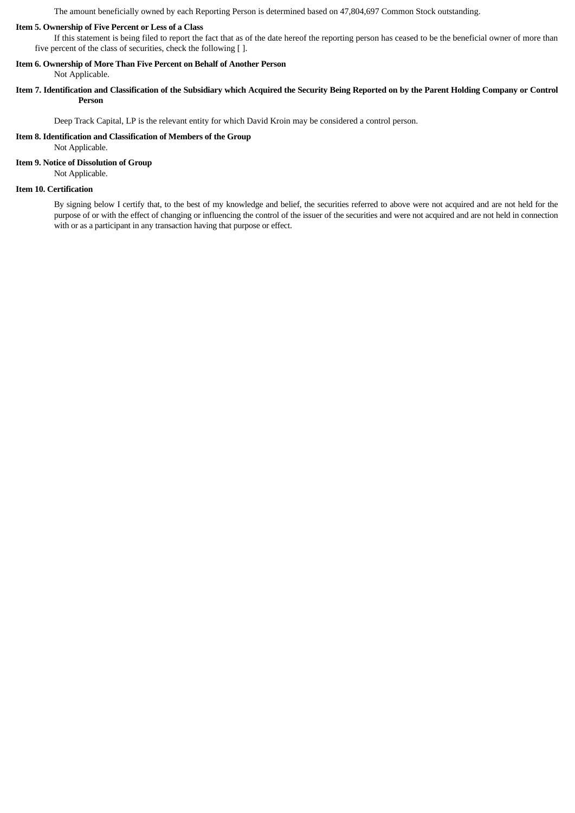The amount beneficially owned by each Reporting Person is determined based on 47,804,697 Common Stock outstanding.

# **Item 5. Ownership of Five Percent or Less of a Class**

If this statement is being filed to report the fact that as of the date hereof the reporting person has ceased to be the beneficial owner of more than five percent of the class of securities, check the following [ ].

# **Item 6. Ownership of More Than Five Percent on Behalf of Another Person**

Not Applicable.

Item 7. Identification and Classification of the Subsidiary which Acquired the Security Being Reported on by the Parent Holding Company or Control **Person**

Deep Track Capital, LP is the relevant entity for which David Kroin may be considered a control person.

# **Item 8. Identification and Classification of Members of the Group**

Not Applicable.

# **Item 9. Notice of Dissolution of Group**

Not Applicable.

# **Item 10. Certification**

By signing below I certify that, to the best of my knowledge and belief, the securities referred to above were not acquired and are not held for the purpose of or with the effect of changing or influencing the control of the issuer of the securities and were not acquired and are not held in connection with or as a participant in any transaction having that purpose or effect.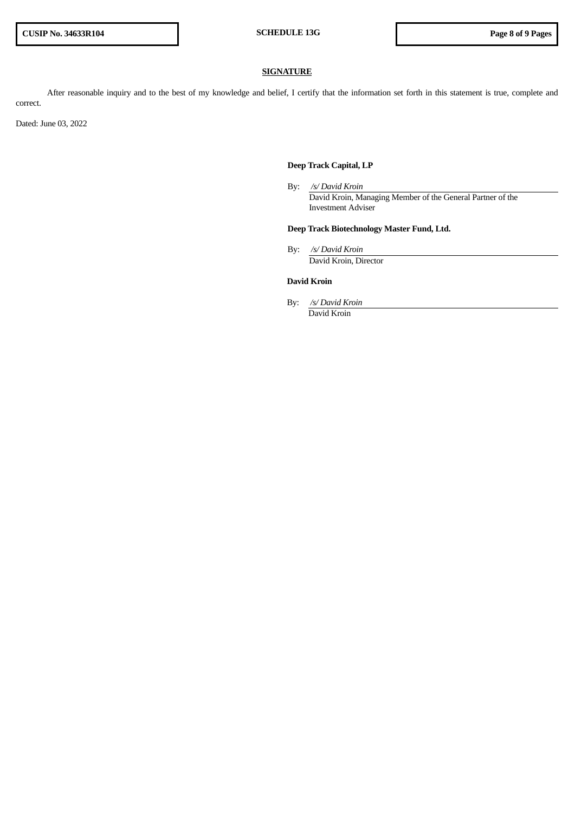# **SIGNATURE**

After reasonable inquiry and to the best of my knowledge and belief, I certify that the information set forth in this statement is true, complete and correct.

Dated: June 03, 2022

# **Deep Track Capital, LP**

By: */s/ David Kroin* David Kroin, Managing Member of the General Partner of the Investment Adviser

# **Deep Track Biotechnology Master Fund, Ltd.**

By: */s/ David Kroin* David Kroin, Director

# **David Kroin**

By: */s/ David Kroin* David Kroin